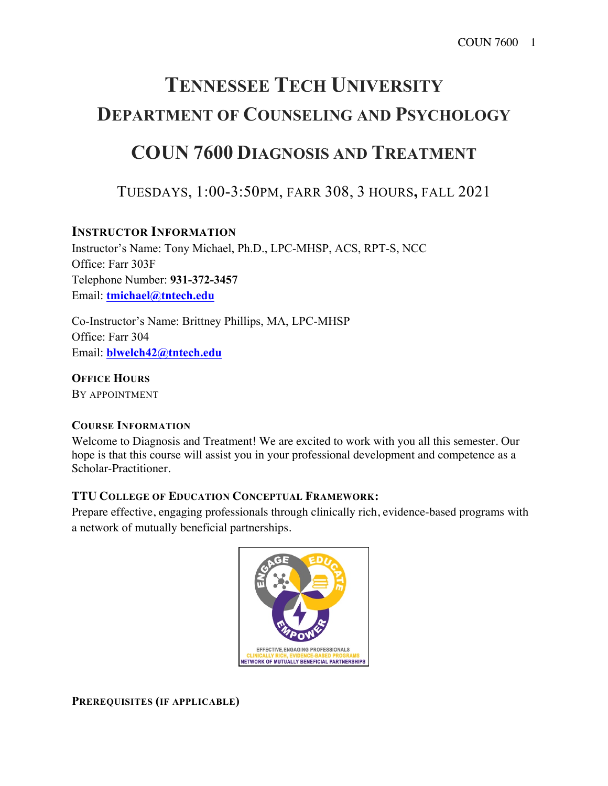# **TENNESSEE TECH UNIVERSITY DEPARTMENT OF COUNSELING AND PSYCHOLOGY**

# **COUN 7600 DIAGNOSIS AND TREATMENT**

TUESDAYS, 1:00-3:50PM, FARR 308, 3 HOURS**,** FALL 2021

#### **INSTRUCTOR INFORMATION**

Instructor's Name: Tony Michael, Ph.D., LPC-MHSP, ACS, RPT-S, NCC Office: Farr 303F Telephone Number: **931-372-3457** Email: **tmichael@tntech.edu**

Co-Instructor's Name: Brittney Phillips, MA, LPC-MHSP Office: Farr 304 Email: **blwelch42@tntech.edu**

**OFFICE HOURS**

BY APPOINTMENT

#### **COURSE INFORMATION**

Welcome to Diagnosis and Treatment! We are excited to work with you all this semester. Our hope is that this course will assist you in your professional development and competence as a Scholar-Practitioner.

#### **TTU COLLEGE OF EDUCATION CONCEPTUAL FRAMEWORK:**

Prepare effective, engaging professionals through clinically rich, evidence-based programs with a network of mutually beneficial partnerships.



**PREREQUISITES (IF APPLICABLE)**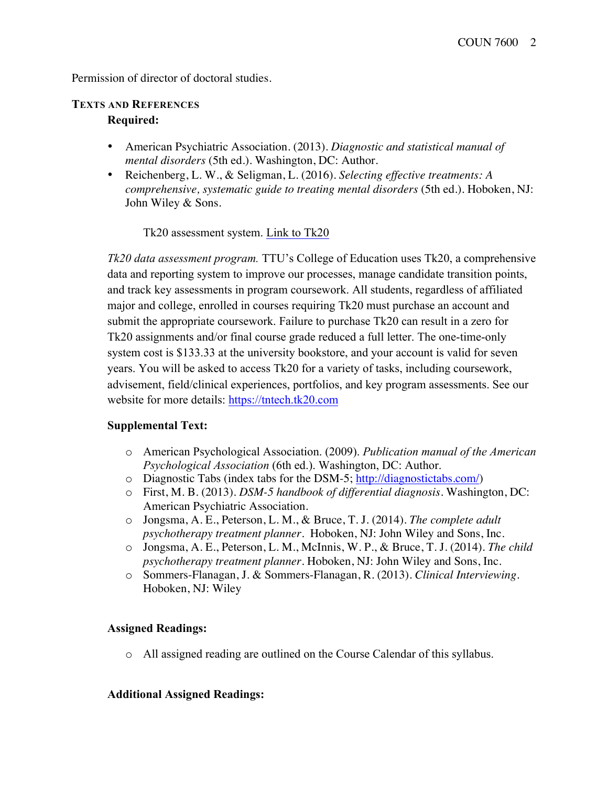Permission of director of doctoral studies.

#### **TEXTS AND REFERENCES Required:**

- American Psychiatric Association. (2013). *Diagnostic and statistical manual of mental disorders* (5th ed.). Washington, DC: Author.
- Reichenberg, L. W., & Seligman, L. (2016). *Selecting effective treatments: A comprehensive, systematic guide to treating mental disorders* (5th ed.). Hoboken, NJ: John Wiley & Sons.

Tk20 assessment system. Link to Tk20

*Tk20 data assessment program.* TTU's College of Education uses Tk20, a comprehensive data and reporting system to improve our processes, manage candidate transition points, and track key assessments in program coursework. All students, regardless of affiliated major and college, enrolled in courses requiring Tk20 must purchase an account and submit the appropriate coursework. Failure to purchase Tk20 can result in a zero for Tk20 assignments and/or final course grade reduced a full letter. The one-time-only system cost is \$133.33 at the university bookstore, and your account is valid for seven years. You will be asked to access Tk20 for a variety of tasks, including coursework, advisement, field/clinical experiences, portfolios, and key program assessments. See our website for more details: https://tntech.tk20.com

#### **Supplemental Text:**

- o American Psychological Association. (2009). *Publication manual of the American Psychological Association* (6th ed.). Washington, DC: Author.
- o Diagnostic Tabs (index tabs for the DSM-5; http://diagnostictabs.com/)
- o First, M. B. (2013). *DSM-5 handbook of differential diagnosis.* Washington, DC: American Psychiatric Association.
- o Jongsma, A. E., Peterson, L. M., & Bruce, T. J. (2014). *The complete adult psychotherapy treatment planner.* Hoboken, NJ: John Wiley and Sons, Inc.
- o Jongsma, A. E., Peterson, L. M., McInnis, W. P., & Bruce, T. J. (2014). *The child psychotherapy treatment planner.* Hoboken, NJ: John Wiley and Sons, Inc.
- o Sommers-Flanagan, J. & Sommers-Flanagan, R. (2013). *Clinical Interviewing*. Hoboken, NJ: Wiley

#### **Assigned Readings:**

o All assigned reading are outlined on the Course Calendar of this syllabus.

#### **Additional Assigned Readings:**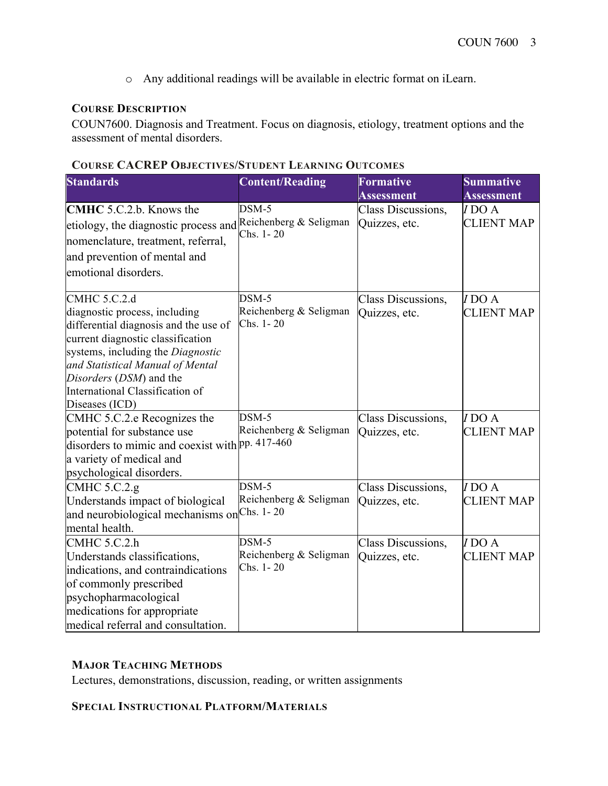o Any additional readings will be available in electric format on iLearn.

#### **COURSE DESCRIPTION**

COUN7600. Diagnosis and Treatment. Focus on diagnosis, etiology, treatment options and the assessment of mental disorders.

| <b>Standards</b>                                                                                                                                                                                                                                                                     | <b>Content/Reading</b>                         | <b>Formative</b><br>Assessment      | <b>Summative</b><br><b>Assessment</b> |
|--------------------------------------------------------------------------------------------------------------------------------------------------------------------------------------------------------------------------------------------------------------------------------------|------------------------------------------------|-------------------------------------|---------------------------------------|
| <b>CMHC</b> 5.C.2.b. Knows the<br>etiology, the diagnostic process and Reichenberg & Seligman<br>nomenclature, treatment, referral,<br>and prevention of mental and<br>emotional disorders.                                                                                          | $DSM-5$<br>Chs. 1-20                           | Class Discussions,<br>Quizzes, etc. | I DO A<br><b>CLIENT MAP</b>           |
| CMHC 5.C.2.d<br>diagnostic process, including<br>differential diagnosis and the use of<br>current diagnostic classification<br>systems, including the Diagnostic<br>and Statistical Manual of Mental<br>Disorders (DSM) and the<br>International Classification of<br>Diseases (ICD) | $DSM-5$<br>Reichenberg & Seligman<br>Chs. 1-20 | Class Discussions,<br>Quizzes, etc. | $I$ DO A<br><b>CLIENT MAP</b>         |
| CMHC 5.C.2.e Recognizes the<br>potential for substance use<br>disorders to mimic and coexist with pp. 417-460<br>a variety of medical and<br>psychological disorders.                                                                                                                | $DSM-5$<br>Reichenberg & Seligman              | Class Discussions,<br>Quizzes, etc. | $I$ DO A<br><b>CLIENT MAP</b>         |
| CMHC 5.C.2.g<br>Understands impact of biological<br>and neurobiological mechanisms on Chs. 1-20<br>mental health.                                                                                                                                                                    | $DSM-5$<br>Reichenberg & Seligman              | Class Discussions,<br>Quizzes, etc. | $I$ DO A<br><b>CLIENT MAP</b>         |
| CMHC 5.C.2.h<br>Understands classifications,<br>indications, and contraindications<br>of commonly prescribed<br>psychopharmacological<br>medications for appropriate<br>medical referral and consultation.                                                                           | $DSM-5$<br>Reichenberg & Seligman<br>Chs. 1-20 | Class Discussions,<br>Quizzes, etc. | $I$ DO A<br><b>CLIENT MAP</b>         |

#### **COURSE CACREP OBJECTIVES/STUDENT LEARNING OUTCOMES**

#### **MAJOR TEACHING METHODS**

Lectures, demonstrations, discussion, reading, or written assignments

#### **SPECIAL INSTRUCTIONAL PLATFORM/MATERIALS**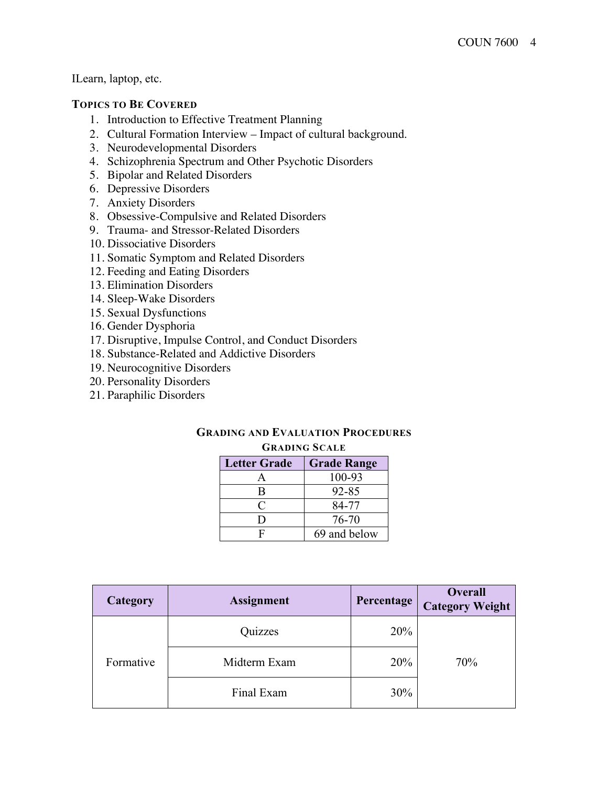ILearn, laptop, etc.

#### **TOPICS TO BE COVERED**

- 1. Introduction to Effective Treatment Planning
- 2. Cultural Formation Interview Impact of cultural background.
- 3. Neurodevelopmental Disorders
- 4. Schizophrenia Spectrum and Other Psychotic Disorders
- 5. Bipolar and Related Disorders
- 6. Depressive Disorders
- 7. Anxiety Disorders
- 8. Obsessive-Compulsive and Related Disorders
- 9. Trauma- and Stressor-Related Disorders
- 10. Dissociative Disorders
- 11. Somatic Symptom and Related Disorders
- 12. Feeding and Eating Disorders
- 13. Elimination Disorders
- 14. Sleep-Wake Disorders
- 15. Sexual Dysfunctions
- 16. Gender Dysphoria
- 17. Disruptive, Impulse Control, and Conduct Disorders
- 18. Substance-Related and Addictive Disorders
- 19. Neurocognitive Disorders
- 20. Personality Disorders
- 21. Paraphilic Disorders

#### **GRADING AND EVALUATION PROCEDURES**

#### **GRADING SCALE**

| <b>Letter Grade</b> | <b>Grade Range</b> |
|---------------------|--------------------|
|                     | 100-93             |
| B                   | 92-85              |
| ⊖                   | 84-77              |
| I)                  | 76-70              |
| E                   | 69 and below       |

| Category  | <b>Assignment</b> | Percentage | <b>Overall</b><br><b>Category Weight</b> |  |
|-----------|-------------------|------------|------------------------------------------|--|
| Formative | Quizzes           | 20%        |                                          |  |
|           | Midterm Exam      | 20%        | 70%                                      |  |
|           | Final Exam        | 30%        |                                          |  |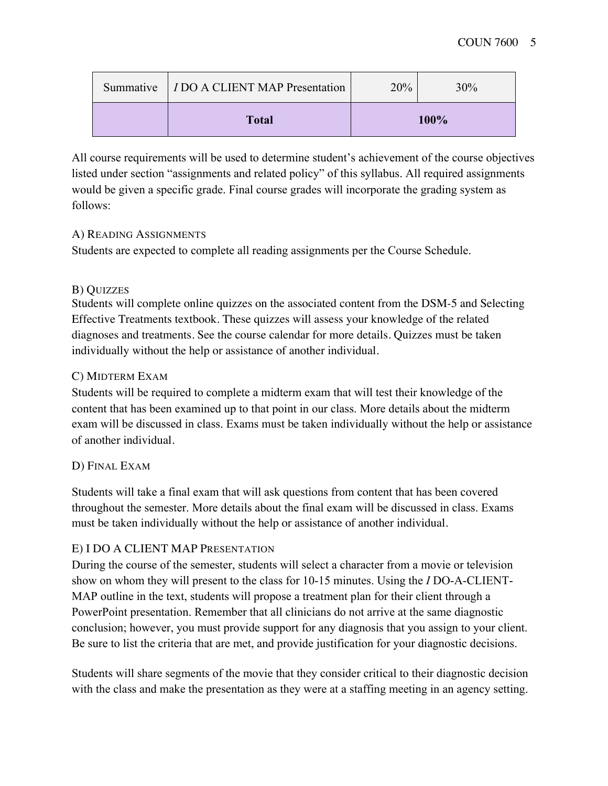| Summative   <i>I</i> DO A CLIENT MAP Presentation | 20%  | 30% |
|---------------------------------------------------|------|-----|
| <b>Total</b>                                      | 100% |     |

All course requirements will be used to determine student's achievement of the course objectives listed under section "assignments and related policy" of this syllabus. All required assignments would be given a specific grade. Final course grades will incorporate the grading system as follows:

#### A) READING ASSIGNMENTS

Students are expected to complete all reading assignments per the Course Schedule.

#### B) QUIZZES

Students will complete online quizzes on the associated content from the DSM-5 and Selecting Effective Treatments textbook. These quizzes will assess your knowledge of the related diagnoses and treatments. See the course calendar for more details. Quizzes must be taken individually without the help or assistance of another individual.

#### C) MIDTERM EXAM

Students will be required to complete a midterm exam that will test their knowledge of the content that has been examined up to that point in our class. More details about the midterm exam will be discussed in class. Exams must be taken individually without the help or assistance of another individual.

#### D) FINAL EXAM

Students will take a final exam that will ask questions from content that has been covered throughout the semester. More details about the final exam will be discussed in class. Exams must be taken individually without the help or assistance of another individual.

#### E) I DO A CLIENT MAP PRESENTATION

During the course of the semester, students will select a character from a movie or television show on whom they will present to the class for 10-15 minutes. Using the *I* DO-A-CLIENT-MAP outline in the text, students will propose a treatment plan for their client through a PowerPoint presentation. Remember that all clinicians do not arrive at the same diagnostic conclusion; however, you must provide support for any diagnosis that you assign to your client. Be sure to list the criteria that are met, and provide justification for your diagnostic decisions.

Students will share segments of the movie that they consider critical to their diagnostic decision with the class and make the presentation as they were at a staffing meeting in an agency setting.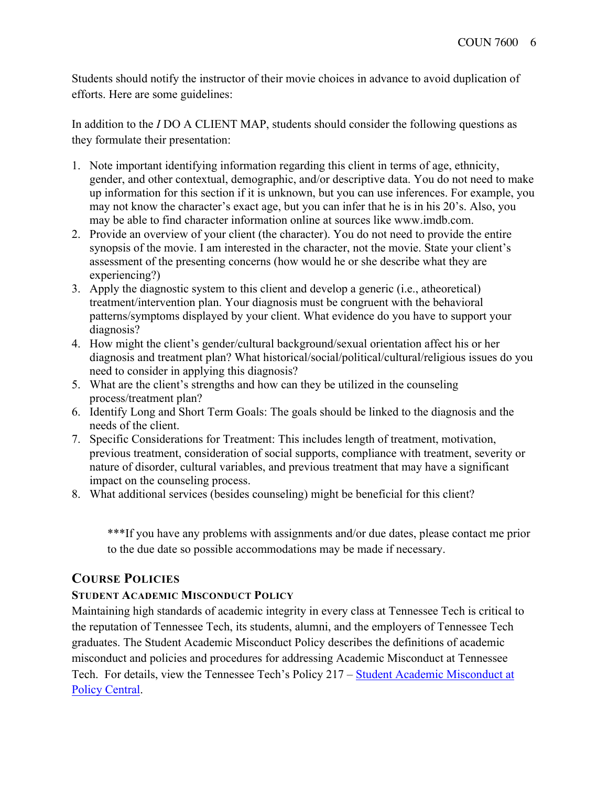Students should notify the instructor of their movie choices in advance to avoid duplication of efforts. Here are some guidelines:

In addition to the *I* DO A CLIENT MAP, students should consider the following questions as they formulate their presentation:

- 1. Note important identifying information regarding this client in terms of age, ethnicity, gender, and other contextual, demographic, and/or descriptive data. You do not need to make up information for this section if it is unknown, but you can use inferences. For example, you may not know the character's exact age, but you can infer that he is in his 20's. Also, you may be able to find character information online at sources like www.imdb.com.
- 2. Provide an overview of your client (the character). You do not need to provide the entire synopsis of the movie. I am interested in the character, not the movie. State your client's assessment of the presenting concerns (how would he or she describe what they are experiencing?)
- 3. Apply the diagnostic system to this client and develop a generic (i.e., atheoretical) treatment/intervention plan. Your diagnosis must be congruent with the behavioral patterns/symptoms displayed by your client. What evidence do you have to support your diagnosis?
- 4. How might the client's gender/cultural background/sexual orientation affect his or her diagnosis and treatment plan? What historical/social/political/cultural/religious issues do you need to consider in applying this diagnosis?
- 5. What are the client's strengths and how can they be utilized in the counseling process/treatment plan?
- 6. Identify Long and Short Term Goals: The goals should be linked to the diagnosis and the needs of the client.
- 7. Specific Considerations for Treatment: This includes length of treatment, motivation, previous treatment, consideration of social supports, compliance with treatment, severity or nature of disorder, cultural variables, and previous treatment that may have a significant impact on the counseling process.
- 8. What additional services (besides counseling) might be beneficial for this client?

\*\*\*If you have any problems with assignments and/or due dates, please contact me prior to the due date so possible accommodations may be made if necessary.

# **COURSE POLICIES**

#### **STUDENT ACADEMIC MISCONDUCT POLICY**

Maintaining high standards of academic integrity in every class at Tennessee Tech is critical to the reputation of Tennessee Tech, its students, alumni, and the employers of Tennessee Tech graduates. The Student Academic Misconduct Policy describes the definitions of academic misconduct and policies and procedures for addressing Academic Misconduct at Tennessee Tech. For details, view the Tennessee Tech's Policy 217 – Student Academic Misconduct at Policy Central.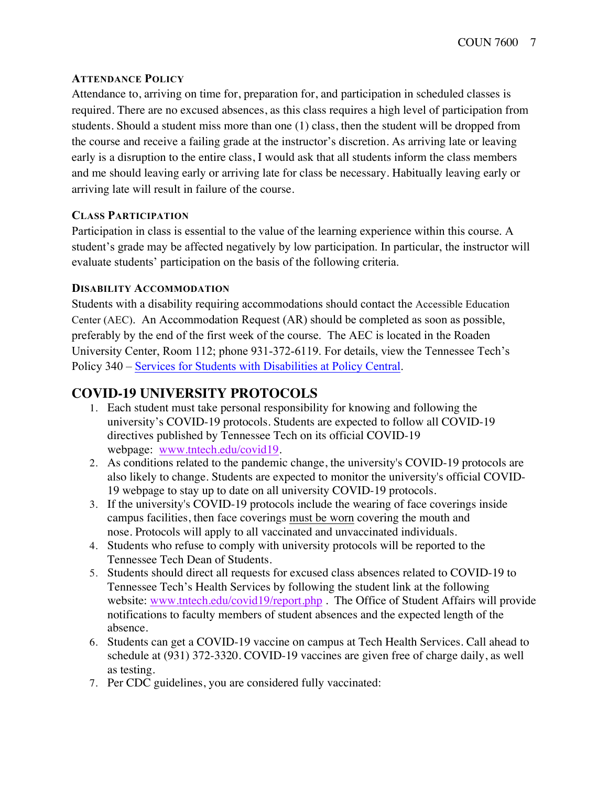#### **ATTENDANCE POLICY**

Attendance to, arriving on time for, preparation for, and participation in scheduled classes is required. There are no excused absences, as this class requires a high level of participation from students. Should a student miss more than one (1) class, then the student will be dropped from the course and receive a failing grade at the instructor's discretion. As arriving late or leaving early is a disruption to the entire class, I would ask that all students inform the class members and me should leaving early or arriving late for class be necessary. Habitually leaving early or arriving late will result in failure of the course.

#### **CLASS PARTICIPATION**

Participation in class is essential to the value of the learning experience within this course. A student's grade may be affected negatively by low participation. In particular, the instructor will evaluate students' participation on the basis of the following criteria.

#### **DISABILITY ACCOMMODATION**

Students with a disability requiring accommodations should contact the Accessible Education Center (AEC). An Accommodation Request (AR) should be completed as soon as possible, preferably by the end of the first week of the course. The AEC is located in the Roaden University Center, Room 112; phone 931-372-6119. For details, view the Tennessee Tech's Policy 340 – Services for Students with Disabilities at Policy Central.

# **COVID-19 UNIVERSITY PROTOCOLS**

- 1. Each student must take personal responsibility for knowing and following the university's COVID-19 protocols. Students are expected to follow all COVID-19 directives published by Tennessee Tech on its official COVID-19 webpage: www.tntech.edu/covid19.
- 2. As conditions related to the pandemic change, the university's COVID-19 protocols are also likely to change. Students are expected to monitor the university's official COVID-19 webpage to stay up to date on all university COVID-19 protocols.
- 3. If the university's COVID-19 protocols include the wearing of face coverings inside campus facilities, then face coverings must be worn covering the mouth and nose. Protocols will apply to all vaccinated and unvaccinated individuals.
- 4. Students who refuse to comply with university protocols will be reported to the Tennessee Tech Dean of Students.
- 5. Students should direct all requests for excused class absences related to COVID-19 to Tennessee Tech's Health Services by following the student link at the following website: www.tntech.edu/covid19/report.php. The Office of Student Affairs will provide notifications to faculty members of student absences and the expected length of the absence.
- 6. Students can get a COVID-19 vaccine on campus at Tech Health Services. Call ahead to schedule at (931) 372-3320. COVID-19 vaccines are given free of charge daily, as well as testing.
- 7. Per CDC guidelines, you are considered fully vaccinated: